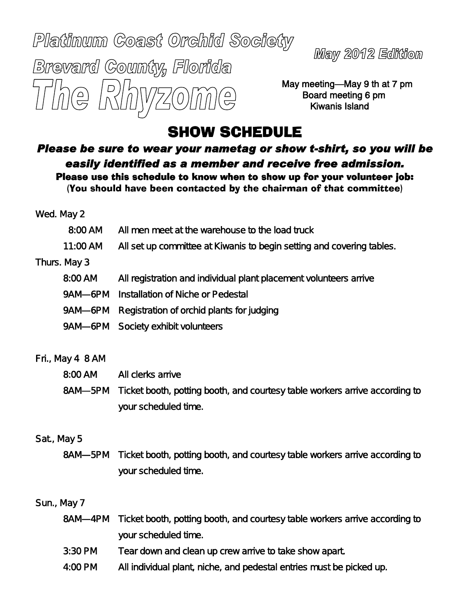# Platinum Coast Orchid Society Brevard County, Florida The Rh

Maw 2012 Edition

May meeting—May 9 th at 7 pm Board meeting 6 pm Kiwanis Island

## SHOW SCHEDULE

*Please be sure to wear your nametag or show t-shirt, so you will be easily identified as a member and receive free admission.* Please use this schedule to know when to show up for your volunteer job: (You should have been contacted by the chairman of that committee)

|                  | Wed. May 2 |                                                                             |
|------------------|------------|-----------------------------------------------------------------------------|
|                  | 8:00 AM    | All men meet at the warehouse to the load truck                             |
|                  | 11:00 AM   | All set up committee at Kiwanis to begin setting and covering tables.       |
| Thurs. May 3     |            |                                                                             |
|                  | 8:00 AM    | All registration and individual plant placement volunteers arrive           |
|                  | 9AM-6PM    | Installation of Niche or Pedestal                                           |
|                  | 9AM—6PM    | Registration of orchid plants for judging                                   |
|                  |            | 9AM-6PM Society exhibit volunteers                                          |
|                  |            |                                                                             |
| Fri., May 4 8 AM |            |                                                                             |
|                  | 8:00 AM    | All clerks arrive                                                           |
|                  | 8AM-5PM    | Ticket booth, potting booth, and courtesy table workers arrive according to |
|                  |            | your scheduled time.                                                        |

#### Sat., May 5

8AM—5PM Ticket booth, potting booth, and courtesy table workers arrive according to your scheduled time.

#### Sun., May 7

- 8AM—4PM Ticket booth, potting booth, and courtesy table workers arrive according to your scheduled time.
- 3:30 PM Tear down and clean up crew arrive to take show apart.
- 4:00 PM All individual plant, niche, and pedestal entries must be picked up.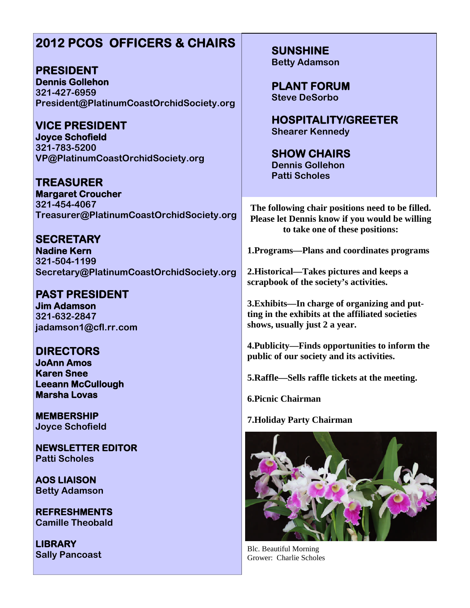## **2012 PCOS OFFICERS & CHAIRS**

**PRESIDENT Dennis Gollehon 321-427-6959 President@PlatinumCoastOrchidSociety.org**

**VICE PRESIDENT Joyce Schofield 321-783-5200 VP@PlatinumCoastOrchidSociety.org**

**TREASURER Margaret Croucher 321-454-4067 Treasurer@PlatinumCoastOrchidSociety.org**

**SECRETARY Nadine Kern 321-504-1199 Secretary@PlatinumCoastOrchidSociety.org**

**PAST PRESIDENT Jim Adamson 321-632-2847 jadamson1@cfl.rr.com**

**DIRECTORS JoAnn Amos Karen Snee Leeann McCullough Marsha Lovas**

**MEMBERSHIP Joyce Schofield**

**NEWSLETTER EDITOR Patti Scholes**

**AOS LIAISON Betty Adamson**

**REFRESHMENTS Camille Theobald**

**LIBRARY Sally Pancoast** **SUNSHINE Betty Adamson**

**PLANT FORUM Steve DeSorbo**

**HOSPITALITY/GREETER Shearer Kennedy**

**SHOW CHAIRS Dennis Gollehon Patti Scholes**

**The following chair positions need to be filled. Please let Dennis know if you would be willing to take one of these positions:**

**1.Programs—Plans and coordinates programs**

**2.Historical—Takes pictures and keeps a scrapbook of the society's activities.**

**3.Exhibits—In charge of organizing and putting in the exhibits at the affiliated societies shows, usually just 2 a year.**

**4.Publicity—Finds opportunities to inform the public of our society and its activities.**

**5.Raffle—Sells raffle tickets at the meeting.**

**6.Picnic Chairman**

**7.Holiday Party Chairman**



Blc. Beautiful Morning Grower: Charlie Scholes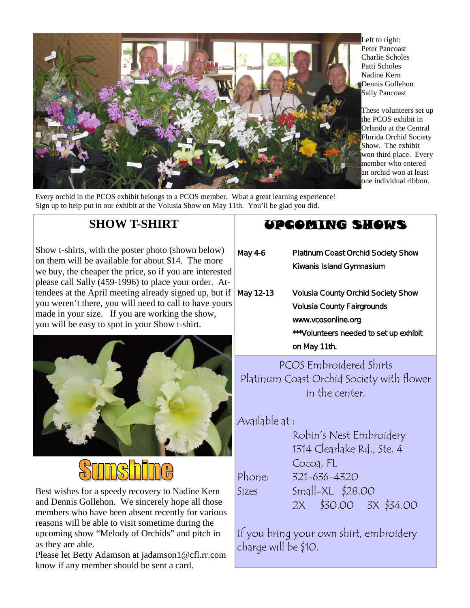

Every orchid in the PCOS exhibit belongs to a PCOS member. What a great learning experience! Sign up to help put in our exhibit at the Volusia Show on May 11th. You'll be glad you did.

Show t-shirts, with the poster photo (shown below) on them will be available for about \$14. The more we buy, the cheaper the price, so if you are interested please call Sally (459-1996) to place your order. Attendees at the April meeting already signed up, but if

you weren't there, you will need to call to have yours made in your size. If you are working the show, you will be easy to spot in your Show t-shirt.

**SHOW T-SHIRT**



Best wishes for a speedy recovery to Nadine Kern and Dennis Gollehon. We sincerely hope all those members who have been absent recently for various reasons will be able to visit sometime during the upcoming show "Melody of Orchids" and pitch in as they are able.

Please let Betty Adamson at jadamson1@cfl.rr.com know if any member should be sent a card.

## UPCOMING SHOWS

May 4-6 Platinum Coast Orchid Society Show Kiwanis Island Gymnasium May 12-13 Volusia County Orchid Society Show Volusia County Fairgrounds www.vcosonline.org \*\*\*Volunteers needed to set up exhibit on May 11th.

PCOS Embroidered Shirts Platinum Coast Orchid Society with flower in the center.

### Available at :

Robin's Nest Embroidery 1314 Clearlake Rd., Ste. 4 Cocoa, FL Phone: 321-636-4320 Sizes Small-XL \$28.00 2X \$30.00 3X \$34.00

If you bring your own shirt, embroidery charge will be \$10.

Left to right: Peter Pancoast Charlie Scholes Patti Scholes Nadine Kern Dennis Gollehon Sally Pancoast

These volunteers set up the PCOS exhibit in Orlando at the Central Florida Orchid Society Show. The exhibit won third place. Every member who entered an orchid won at least one individual ribbon.